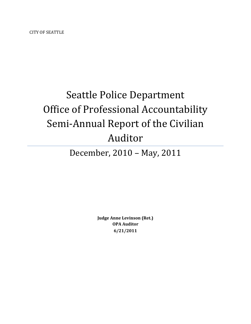CITY OF SEATTLE

# Seattle Police Department Office of Professional Accountability Semi-Annual Report of the Civilian Auditor

# December, 2010 – May, 2011

**Judge Anne Levinson (Ret.) OPA Auditor 6/21/2011**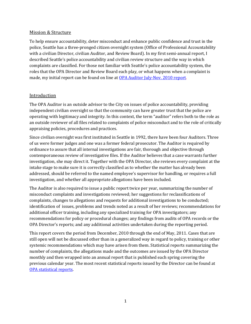#### Mission & Structure

To help ensure accountability, deter misconduct and enhance public confidence and trust in the police, Seattle has a three-pronged citizen oversight system (Office of Professional Accountability with a civilian Director, civilian Auditor, and Review Board). In my first semi-annual report, I described Seattle's police accountability and civilian review structure and the way in which complaints are classified. For those not familiar with Seattle's police accountability system, the roles that the OPA Director and Review Board each play, or what happens when a complaint is made, my initial report can be found on line at [OPA Auditor July-Nov. 2010 report.](http://www.seattle.gov/police/OPA/docs/AuditorReport_July_November_2010.pdf.)

#### Introduction

The OPA Auditor is an outside advisor to the City on issues of police accountability, providing independent civilian oversight so that the community can have greater trust that the police are operating with legitimacy and integrity. In this context, the term "auditor" refers both to the role as an outside reviewer of all files related to complaints of police misconduct and to the role of critically appraising policies, procedures and practices.

Since civilian oversight was first instituted in Seattle in 1992, there have been four Auditors. Three of us were former judges and one was a former federal prosecutor. The Auditor is required by ordinance to assure that all internal investigations are fair, thorough and objective through contemporaneous review of investigative files. If the Auditor believes that a case warrants further investigation, she may direct it. Together with the OPA Director, she reviews every complaint at the intake stage to make sure it is correctly classified as to whether the matter has already been addressed, should be referred to the named employee's supervisor for handling, or requires a full investigation, and whether all appropriate allegations have been included.

The Auditor is also required to issue a public report twice per year, summarizing the number of misconduct complaints and investigations reviewed; her suggestions for reclassifications of complaints, changes to allegations and requests for additional investigations to be conducted; identification of issues, problems and trends noted as a result of her reviews; recommendations for additional officer training, including any specialized training for OPA investigators; any recommendations for policy or procedural changes; any findings from audits of OPA records or the OPA Director's reports; and any additional activities undertaken during the reporting period.

This report covers the period from December, 2010 through the end of May, 2011. Cases that are still open will not be discussed other than in a generalized way in regard to policy, training or other systemic recommendations which may have arisen from them. Statistical reports summarizing the number of complaints, the allegations made and the outcomes are issued by the OPA Director monthly and then wrapped into an annual report that is published each spring covering the previous calendar year. The most recent statistical reports issued by the Director can be found at [OPA statistical reports.](http://www.seattle.gov/police/OPA/Publications.htm)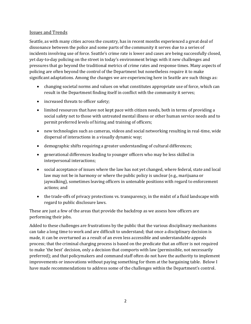#### Issues and Trends

Seattle, as with many cities across the country, has in recent months experienced a great deal of dissonance between the police and some parts of the community it serves due to a series of incidents involving use of force. Seattle's crime rate is lower and cases are being successfully closed, yet day-to-day policing on the street in today's environment brings with it new challenges and pressures that go beyond the traditional metrics of crime rates and response times. Many aspects of policing are often beyond the control of the Department but nonetheless require it to make significant adaptations. Among the changes we are experiencing here in Seattle are such things as:

- changing societal norms and values on what constitutes appropriate use of force, which can result in the Department finding itself in conflict with the community it serves;
- increased threats to officer safety;
- limited resources that have not kept pace with citizen needs, both in terms of providing a social safety net to those with untreated mental illness or other human service needs and to permit preferred levels of hiring and training of officers;
- new technologies such as cameras, videos and social networking resulting in real-time, wide dispersal of interactions in a visually dynamic way;
- demographic shifts requiring a greater understanding of cultural differences;
- generational differences leading to younger officers who may be less skilled in interpersonal interactions;
- social acceptance of issues where the law has not yet changed, where federal, state and local law may not be in harmony or where the public policy is unclear (e.g., marijuana or jaywalking), sometimes leaving officers in untenable positions with regard to enforcement actions; and
- the trade-offs of privacy protections vs. transparency, in the midst of a fluid landscape with regard to public disclosure laws.

These are just a few of the areas that provide the backdrop as we assess how officers are performing their jobs.

Added to these challenges are frustrations by the public that the various disciplinary mechanisms can take a long time to work and are difficult to understand; that once a disciplinary decision is made, it can be overturned as a result of an even less accessible and understandable appeals process; that the criminal charging process is based on the predicate that an officer is not required to make 'the best' decision, only a decision that comports with law (permissible, not necessarily preferred); and that policymakers and command staff often do not have the authority to implement improvements or innovations without paying something for them at the bargaining table. Below I have made recommendations to address some of the challenges within the Department's control.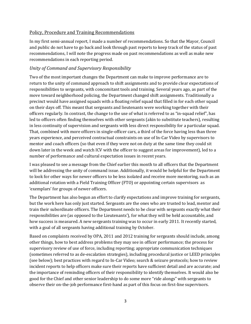# Policy, Procedure and Training Recommendations

In my first semi-annual report, I made a number of recommendations. So that the Mayor, Council and public do not have to go back and look through past reports to keep track of the status of past recommendations, I will note the progress made on past recommendations as well as make new recommendations in each reporting period.

# *Unity of Command and Supervisory Responsibility*

Two of the most important changes the Department can make to improve performance are to return to the unity of command approach to shift assignments and to provide clear expectations of responsibilities to sergeants, with concomitant tools and training. Several years ago, as part of the move toward neighborhood policing, the Department changed shift assignments. Traditionally a precinct would have assigned squads with a floating relief squad that filled in for each other squad on their days off. This meant that sergeants and lieutenants were working together with their officers regularly. In contrast, the change to the use of what is referred to as "in-squad relief", has led to officers often finding themselves with other sergeants (akin to substitute teachers), resulting in less continuity of supervision and sergeants with less direct responsibility for a particular squad. That, combined with more officers in single-officer cars, a third of the force having less than three years experience, and perceived contractual constraints on use of In-Car Video by supervisors to mentor and coach officers (so that even if they were not on duty at the same time they could sit down later in the week and watch ICV with the officer to suggest areas for improvement), led to a number of performance and cultural expectation issues in recent years.

I was pleased to see a message from the Chief earlier this month to all officers that the Department will be addressing the unity of command issue. Additionally, it would be helpful for the Department to look for other ways for newer officers to be less isolated and receive more mentoring, such as an additional rotation with a Field Training Officer (FTO) or appointing certain supervisors as 'exemplars' for groups of newer officers.

The Department has also begun an effort to clarify expectations and improve training for sergeants, but the work here has only just started. Sergeants are the ones who are trusted to lead, mentor and train their subordinate officers. The Department needs to be clear with sergeants exactly what their responsibilities are (as opposed to the Lieutenants'), for what they will be held accountable, and how success is measured. A new sergeants training was to occur in early 2011. It recently started, with a goal of all sergeants having additional training by October.

Based on complaints received by OPA, 2011 and 2012 training for sergeants should include, among other things, how to best address problems they may see in officer performance; the process for supervisory review of use of force, including reporting; appropriate communication techniques (sometimes referred to as de-escalation strategies), including procedural justice or LEED principles (see below); best practices with regard to In-Car Video; search & seizure protocols; how to review incident reports to help officers make sure their reports have sufficient detail and are accurate; and the importance of reminding officers of their responsibility to identify themselves. It would also be good for the Chief and other senior leadership to do some more "ride alongs" with sergeants to observe their on-the-job performance first-hand as part of this focus on first-line supervisors.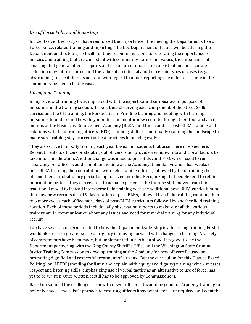#### *Use of Force Policy and Reporting*

Incidents over the last year have reinforced the importance of reviewing the Department's Use of Force policy, related training and reporting. The U.S. Department of Justice will be advising the Department on this topic, so I will limit my recommendations to reiterating the importance of policies and training that are consistent with community norms and values, the importance of ensuring that general offense reports and use of force reports are consistent and an accurate reflection of what transpired, and the value of an internal audit of certain types of cases (e.g., obstruction) to see if there is an issue with regard to under-reporting use of force as some in the community believe to be the case.

### *Hiring and Training*

In my review of training I was impressed with the expertise and seriousness of purpose of personnel in the training section. I spent time observing each component of the Street Skills curriculum, the CIT training, the Perspective in Profiling training and meeting with training personnel to understand how they monitor and mentor new recruits through their four and a half months at the Basic Law Enforcement Academy (BLEA) and then conduct post-BLEA training and rotations with field training officers (FTO). Training staff are continually scanning the landscape to make sure training stays current as best practices in policing evolve.

They also strive to modify training each year based on incidents that occur here or elsewhere. Recent threats to officers or shootings of officers often provide a window into additional factors to take into consideration. Another change was made to post-BLEA and FTO, which used to run separately. An officer would complete the time at the Academy, then do five and a half weeks of post-BLEA training, then do rotations with field training officers, followed by field training check off, and then a probationary period of up to seven months. Recognizing that people tend to retain information better if they can relate it to actual experience, the training staff moved from this traditional model to instead intersperse field training with the additional post-BLEA curriculum, so that now new recruits do a 15-day rotation of post-BLEA, followed by a field training rotation, then two more cycles each of five more days of post-BLEA curriculum followed by another field training rotation. Each of these periods include daily observation reports to make sure all the various trainers are in communication about any issues and need for remedial training for any individual recruit.

I do have several concerns related to how the Department leadership is addressing training. First, I would like to see a greater sense of urgency in moving forward with changes in training. A variety of commitments have been made, but implementation has been slow. It is good to see the Department partnering with the King County Sheriff's Office and the Washington State Criminal Justice Training Commission to develop training at the Academy for new officers focused on promoting dignified and respectful treatment of citizens. But the curriculum for this "Justice Based Policing" or "LEED" (standing for listen and explain with equity and dignity) training which stresses respect and listening skills, emphasizing use of verbal tactics as an alternative to use of force, has yet to be written. Once written, it still has to be approved by Commissioners.

Based on some of the challenges seen with newer officers, it would be good for Academy training to not only have a 'checklist' approach to ensuring officers know what steps are required and what the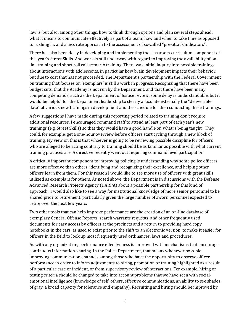law is, but also, among other things, how to think through options and plan several steps ahead; what it means to communicate effectively as part of a team; how and when to take time as opposed to rushing in; and a less rote approach to the assessment of so-called "pre-attack indicators".

There has also been delay in developing and implementing the classroom curriculum component of this year's Street Skills. And work is still underway with regard to improving the availability of online training and short roll call scenario training. There was initial inquiry into possible trainings about interactions with adolescents, in particular how brain development impacts their behavior, but due to cost that has not proceeded. The Department's partnership with the Federal Government on training that focuses on 'exemplars' is still a work in progress. Recognizing that there have been budget cuts, that the Academy is not run by the Department, and that there have been many competing demands, such as the Department of Justice review, some delay is understandable, but it would be helpful for the Department leadership to clearly articulate externally the "deliverable date" of various new trainings in development and the schedule for then conducting these trainings.

A few suggestions I have made during this reporting period related to training don't require additional resources. I encouraged command staff to attend at least part of each year's new trainings (e.g. Street Skills) so that they would have a good handle on what is being taught. They could, for example, get a one-hour overview before officers start cycling through a new block of training. My view on this is that whoever is going to be reviewing possible discipline for officers who are alleged to be acting contrary to training should be as familiar as possible with what current training practices are. A directive recently went out requiring command level participation.

A critically important component to improving policing is understanding why some police officers are more effective than others, identifying and recognizing their excellence, and helping other officers learn from them. For this reason I would like to see more use of officers with great skills utilized as exemplars for others. As noted above, the Department is in discussions with the Defense Advanced Research Projects Agency (DARPA) about a possible partnership for this kind of approach. I would also like to see a way for institutional knowledge of more senior personnel to be shared prior to retirement, particularly given the large number of sworn personnel expected to retire over the next few years.

Two other tools that can help improve performance are the creation of an on-line database of exemplary General Offense Reports, search warrants requests, and other frequently used documents for easy access by officers at the precincts and a return to providing hard copy notebooks in the cars, as used to exist prior to the shift to an electronic version, to make it easier for officers in the field to look up most frequently used ordinances, laws and procedures.

As with any organization, performance effectiveness is improved with mechanisms that encourage continuous information-sharing. In the Police Department, that means whenever possible improving communication channels among those who have the opportunity to observe officer performance in order to inform adjustments to hiring, promotion or training highlighted as a result of a particular case or incident, or from supervisory review of interactions. For example, hiring or testing criteria should be changed to take into account problems that we have seen with socialemotional intelligence (knowledge of self, others, effective communications, an ability to see shades of gray, a broad capacity for tolerance and empathy). Recruiting and hiring should be improved by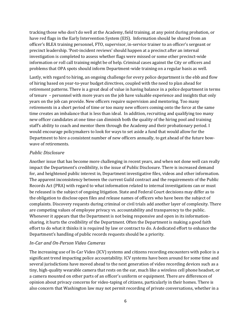tracking those who don't do well at the Academy, field training, at any point during probation, or have red flags in the Early Intervention System (EIS). Information should be shared from an officer's BLEA training personnel, FTO, supervisor, in-service trainer to an officer's sergeant or precinct leadership. 'Post-incident reviews' should happen at a precinct after an internal investigation is completed to assess whether flags were missed or some other precinct-wide information or roll call training might be of help. Criminal cases against the City or officers and problems that OPA spots should inform Department-wide training on a regular basis as well.

Lastly, with regard to hiring, an ongoing challenge for every police department is the ebb and flow of hiring based on year-to-year budget directives, coupled with the need to plan ahead for retirement patterns. There is a great deal of value in having balance in a police department in terms of tenure – personnel with more years on the job have valuable experience and insights that only years on the job can provide. New officers require supervision and mentoring. Too many retirements in a short period of time or too many new officers coming onto the force at the same time creates an imbalance that is less than ideal. In addition, recruiting and qualifying too many new officer candidates at one time can diminish both the quality of the hiring pool and training staff's ability to coach and mentor them through the Academy and their probationary period. I would encourage policymakers to look for ways to set aside a fund that would allow for the Department to hire a consistent number of new officers annually, to get ahead of the future bowwave of retirements.

#### *Public Disclosure*

Another issue that has become more challenging in recent years, and when not done well can really impact the Department's credibility, is the issue of Public Disclosure. There is increased demand for, and heightened public interest in, Department investigative files, videos and other information. The apparent inconsistency between the current Guild contract and the requirements of the Public Records Act (PRA) with regard to what information related to internal investigations can or must be released is the subject of ongoing litigation. State and Federal Court decisions may differ as to the obligation to disclose open files and release names of officers who have been the subject of complaints. Discovery requests during criminal or civil trials add another layer of complexity. There are competing values of employee privacy vs. accountability and transparency to the public. Whenever it appears that the Department is not being responsive and open in its informationsharing, it hurts the credibility of the Department. Often the Department is making a good faith effort to do what it thinks it is required by law or contract to do. A dedicated effort to enhance the Department's handling of public records requests should be a priority.

### *In-Car and On-Person Video Cameras*

The increasing use of In-Car Video (ICV) systems and citizens recording encounters with police is a significant trend impacting police accountability. ICV systems have been around for some time and several jurisdictions have moved ahead to the next generation of video recording devices such as a tiny, high-quality wearable camera that rests on the ear, much like a wireless cell phone headset, or a camera mounted on other parts of an officer's uniform or equipment. There are differences of opinion about privacy concerns for video-taping of citizens, particularly in their homes. There is also concern that Washington law may not permit recording of private conversations, whether in a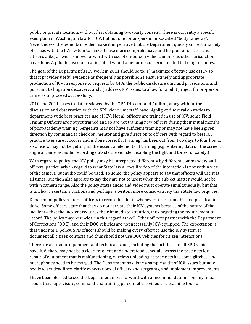public or private location, without first obtaining two-party consent. There is currently a specific exemption in Washington law for ICV, but not one for on-person or so-called "body cameras". Nevertheless, the benefits of video make it imperative that the Department quickly correct a variety of issues with the ICV system to make its use more comprehensive and helpful for officers and citizens alike, as well as move forward with use of on-person video cameras as other jurisdictions have done. A pilot focused on traffic patrol would ameliorate concerns related to being in homes.

The goal of the Department's ICV work in 2011 should be to: 1) maximize effective use of ICV so that it provides useful evidence as frequently as possible; 2) ensure timely and appropriate production of ICV in response to requests by OPA, the public disclosure unit, and prosecutors, and pursuant to litigation discovery; and 3) address ICV issues to allow for a pilot project for on-person cameras to proceed successfully.

2010 and 2011 cases to-date reviewed by the OPA Director and Auditor, along with further discussion and observation with the SPD video unit staff, have highlighted several obstacles to department-wide best practices use of ICV: Not all officers are trained in use of ICV; some Field Training Officers are not yet trained and so are not training new officers during their initial months of post-academy training; Sergeants may not have sufficient training or may not have been given direction by command to check on, mentor and give direction to officers with regard to best ICV practice to ensure it occurs and is done correctly; training has been cut from two days to four hours, so officers may not be getting all the essential elements of training (e.g., entering data on the screen, angle of cameras, audio recording outside the vehicle, disabling the light and tones for safety.)

With regard to policy, the ICV policy may be interpreted differently by different commanders and officers, particularly in regard to what State law allows if video of the interaction is not within view of the camera, but audio could be used. To some, the policy appears to say that officers will use it at all times, but then also appears to say they are not to use it when the subject matter would not be within camera range. Also the policy states audio and video must operate simultaneously, but that is unclear in certain situations and perhaps is written more conservatively than State law requires.

Department policy requires officers to record incidents whenever it is reasonable and practical to do so. Some officers state that they do not activate their ICV systems because of the nature of the incident – that the incident requires their immediate attention, thus negating the requirement to record. The policy may be unclear in this regard as well. Other officers partner with the Department of Corrections (DOC), and their DOC vehicles are not necessarily ICV-equipped. The expectation is that under SPD policy, SPD officers should be making every effort to use the ICV system to document all citizen contacts and thus should not use DOC vehicles for citizen interactions.

There are also some equipment and technical issues, including the fact that not all SPD vehicles have ICV, there may not be a clear, frequent and understood schedule across the precincts for repair of equipment that is malfunctioning, wireless uploading at precincts has some glitches, and microphones need to be charged. The Department has done a sample audit of ICV issues but now needs to set deadlines, clarify expectations of officers and sergeants, and implement improvements.

I have been pleased to see the Department move forward with a recommendation from my initial report that supervisors, command and training personnel use video as a teaching tool for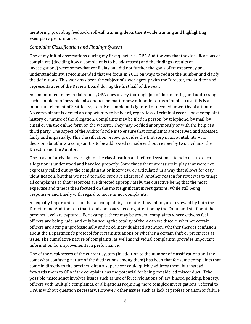mentoring, providing feedback, roll-call training, department-wide training and highlighting exemplary performance.

# *Complaint Classification and Findings System*

One of my initial observations during my first quarter as OPA Auditor was that the classifications of complaints (deciding how a complaint is to be addressed) and the findings (results of investigations) were somewhat confusing and did not further the goals of transparency and understandability. I recommended that we focus in 2011 on ways to reduce the number and clarify the definitions. This work has been the subject of a work group with the Director, the Auditor and representatives of the Review Board during the first half of the year.

As I mentioned in my initial report, OPA does a very thorough job of documenting and addressing each complaint of possible misconduct, no matter how minor. In terms of public trust, this is an important element of Seattle's system. No complaint is ignored or deemed unworthy of attention. No complainant is denied an opportunity to be heard, regardless of criminal record, past complaint history or nature of the allegation. Complaints may be filed in person, by telephone, by mail, by email or via the online form on the website. They may be filed anonymously or with the help of a third party. One aspect of the Auditor's role is to ensure that complaints are received and assessed fairly and impartially. This classification review provides the first step in accountability – no decision about how a complaint is to be addressed is made without review by two civilians: the Director and the Auditor.

One reason for civilian oversight of the classification and referral system is to help ensure each allegation is understood and handled properly. Sometimes there are issues in play that were not expressly called out by the complainant or interview, or articulated in a way that allows for easy identification, but that we need to make sure are addressed. Another reason for review is to triage all complaints so that resources are directed appropriately, the objective being that the most expertise and time is then focused on the most significant investigations, while still being responsive and timely with regard to more minor complaints.

An equally important reason that all complaints, no matter how minor, are reviewed by both the Director and Auditor is so that trends or issues needing attention by the Command staff or at the precinct level are captured. For example, there may be several complaints where citizens feel officers are being rude, and only by seeing the totality of them can we discern whether certain officers are acting unprofessionally and need individualized attention, whether there is confusion about the Department's protocol for certain situations or whether a certain shift or precinct is at issue. The cumulative nature of complaints, as well as individual complaints, provides important information for improvements in performance.

One of the weaknesses of the current system (in addition to the number of classifications and the somewhat confusing nature of the distinctions among them) has been that for some complaints that come in directly to the precinct, often a supervisor could quickly address them, but instead forwards them to OPA if the complaint has the potential for being considered misconduct. If the possible misconduct involves issues such as use of force, violations of law, biased policing, honesty, officers with multiple complaints, or allegations requiring more complex investigations, referral to OPA is without question necessary. However, other issues such as lack of professionalism or failure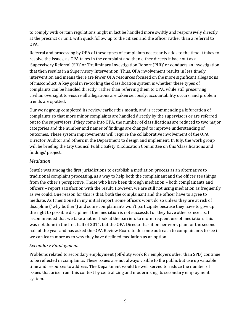to comply with certain regulations might in fact be handled more swiftly and responsively directly at the precinct or unit, with quick follow up to the citizen and the officer rather than a referral to OPA.

Referral and processing by OPA of these types of complaints necessarily adds to the time it takes to resolve the issues, as OPA takes in the complaint and then either directs it back out as a 'Supervisory Referral (SR)' or 'Preliminary Investigation Report (PIR)' or conducts an investigation that then results in a Supervisory Intervention. Thus, OPA involvement results in less timely intervention and means there are fewer OPA resources focused on the more significant allegations of misconduct. A key goal in re-tooling the classification system is whether these types of complaints can be handled directly, rather than referring them to OPA, while still preserving civilian oversight to ensure all allegations are taken seriously, accountability occurs, and problem trends are spotted.

Our work group completed its review earlier this month, and is recommending a bifurcation of complaints so that more minor complaints are handled directly by the supervisors or are referred out to the supervisors if they come into OPA, the number of classifications are reduced to two major categories and the number and names of findings are changed to improve understanding of outcomes. These system improvements will require the collaborative involvement of the OPA Director, Auditor and others in the Department to design and implement. In July, the work group will be briefing the City Council Public Safety & Education Committee on this 'classifications and findings' project.

# *Mediation*

Seattle was among the first jurisdictions to establish a mediation process as an alternative to traditional complaint processing, as a way to help both the complainant and the officer see things from the other's perspective. Those who have been through mediation – both complainants and officers – report satisfaction with the result. However, we are still not using mediation as frequently as we could. One reason for this is that, both the complainant and the officer have to agree to mediate. As I mentioned in my initial report, some officers won't do so unless they are at risk of discipline ("why bother") and some complainants won't participate because they have to give up the right to possible discipline if the mediation is not successful or they have other concerns. I recommended that we take another look at the barriers to more frequent use of mediation. This was not done in the first half of 2011, but the OPA Director has it on her work plan for the second half of the year and has asked the OPA Review Board to do some outreach to complainants to see if we can learn more as to why they have declined mediation as an option.

# *Secondary Employment*

Problems related to secondary employment (off-duty work for employers other than SPD) continue to be reflected in complaints. These issues are not always visible to the public but use up valuable time and resources to address. The Department would be well served to reduce the number of issues that arise from this context by centralizing and modernizing its secondary employment system.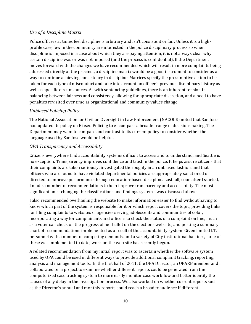# *Use of a Discipline Matrix*

Police officers at times feel discipline is arbitrary and isn't consistent or fair. Unless it is a highprofile case, few in the community are interested in the police disciplinary process so when discipline is imposed in a case about which they are paying attention, it is not always clear why certain discipline was or was not imposed (and the process is confidential). If the Department moves forward with the changes we have recommended which will result in more complaints being addressed directly at the precinct, a discipline matrix would be a good instrument to consider as a way to continue achieving consistency in discipline. Matrices specify the presumptive action to be taken for each type of misconduct and take into account an officer's previous disciplinary history as well as specific circumstances. As with sentencing guidelines, there is an inherent tension in balancing between fairness and consistency, allowing for appropriate discretion, and a need to have penalties revisited over time as organizational and community values change.

### *Unbiased Policing Policy*

The National Association for Civilian Oversight in Law Enforcement (NACOLE) noted that San Jose had updated its policy on Biased Policing to encompass a broader range of decision-making. The Department may want to compare and contrast to its current policy to consider whether the language used by San Jose would be helpful.

# *OPA Transparency and Accessibility*

Citizens everywhere find accountability systems difficult to access and to understand, and Seattle is no exception. Transparency improves confidence and trust in the police. It helps assure citizens that their complaints are taken seriously, investigated thoroughly in an unbiased fashion, and that officers who are found to have violated departmental policies are appropriately sanctioned or directed to improve performance through education-based discipline. Last fall, soon after I started, I made a number of recommendations to help improve transparency and accessibility. The most significant one - changing the classifications and findings system - was discussed above.

I also recommended overhauling the website to make information easier to find without having to know which part of the system is responsible for it or which report covers the topic, providing links for filing complaints to websites of agencies serving adolescents and communities of color, incorporating a way for complainants and officers to check the status of a complaint on line, much as a voter can check on the progress of her ballot on the elections web site, and posting a summary chart of recommendations implemented as a result of the accountability system. Given limited I.T. personnel with a number of competing demands, and a variety of City institutional barriers, none of these was implemented to date; work on the web site has recently begun.

A related recommendation from my initial report was to ascertain whether the software system used by OPA could be used in different ways to provide additional complaint tracking, reporting, analysis and management tools. In the first half of 2011, the OPA Director, an OPARB member and I collaborated on a project to examine whether different reports could be generated from the computerized case tracking system to more easily monitor case workflow and better identify the causes of any delay in the investigation process. We also worked on whether current reports such as the Director's annual and monthly reports could reach a broader audience if different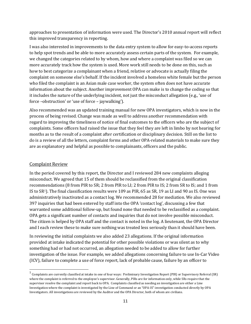approaches to presentation of information were used. The Director's 2010 annual report will reflect this improved transparency in reporting.

I was also interested in improvements to the data entry system to allow for easy-to-access reports to help spot trends and be able to more accurately assess certain parts of the system. For example, we changed the categories related to by whom, how and where a complaint was filed so we can more accurately track how the system is used. More work still needs to be done on this, such as how to best categorize a complainant when a friend, relative or advocate is actually filing the complaint on someone else's behalf. If the incident involved a homeless white female but the person who filed the complaint is an Asian male case worker, the system often does not have accurate information about the subject. Another improvement OPA can make is to change the coding so that it includes the nature of the underlying incident, not just the misconduct allegation (e.g., 'use of force –obstruction' or 'use of force – jaywalking').

Also recommended was an updated training manual for new OPA investigators, which is now in the process of being revised. Change was made as well to address another recommendation with regard to improving the timeliness of notice of final outcomes to the officers who are the subject of complaints. Some officers had raised the issue that they feel they are left in limbo by not hearing for months as to the result of a complaint after certification or disciplinary decision. Still on the list to do is a review of all the letters, complaint forms and other OPA-related materials to make sure they are as explanatory and helpful as possible to complainants, officers and the public.

### Complaint Review

 $\overline{\phantom{a}}$ 

In the period covered by this report, the Director and I reviewed 284 new complaints alleging misconduct. We agreed that 15 of them should be reclassified from the original classification recommendations (8 from PIR to SR; 2 from PIR to LI; 2 from PIR to IS; 2 from SR to IS; and 1 from IS to SR1). The final classification results were 109 as PIR, 65 as SR, 19 as LI and 90 as IS. One was administratively inactivated as a contact log. We recommended 28 for mediation. We also reviewed 397 inquiries that had been entered by staff into the OPA 'contact log', discussing a few that warranted some additional follow-up, but found none that needed to be reclassified as a complaint. OPA gets a significant number of contacts and inquiries that do not involve possible misconduct. The citizen is helped by OPA staff and the contact is noted in the log. A lieutenant, the OPA Director and I each review these to make sure nothing was treated less seriously than it should have been.

In reviewing the initial complaints we also added 23 allegations. If the original information provided at intake indicated the potential for other possible violations or was silent as to why something had or had not occurred, an allegation needed to be added to allow for further investigation of the issue. For example, we added allegations concerning failure to use In-Car Video (ICV), failure to complete a use of force report, lack of probable cause, failure by an officer to

<sup>&</sup>lt;sup>1</sup> Complaints are currently classified at intake in one of four ways: Preliminary Investigation Report (PIR) or Supervisory Referral (SR) where the complaint is referred to the employee's supervisor. Generally, PIRs are for information only, while SRs require that the supervisor resolve the complaint and report back to OPA. Complaints classified as needing an investigation are either a Line Investigation where the complaint is investigated by the Line of Command or an "OPA-IS" investigation conducted directly by OPA Investigators. All investigations are reviewed by the Auditor and the OPA Director, both of whom are civilians.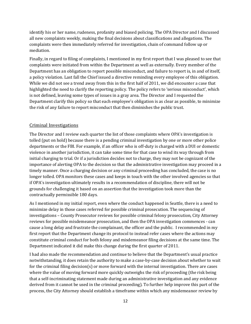identify his or her name, rudeness, profanity and biased policing. The OPA Director and I discussed all new complaints weekly, making the final decisions about classifications and allegations. The complaints were then immediately referred for investigation, chain of command follow up or mediation.

Finally, in regard to filing of complaints, I mentioned in my first report that I was pleased to see that complaints were initiated from within the Department as well as externally. Every member of the Department has an obligation to report possible misconduct, and failure to report is, in and of itself, a policy violation. Last fall the Chief issued a directive reminding every employee of this obligation. While we did not see a trend away from this in the first half of 2011, we did encounter a case that highlighted the need to clarify the reporting policy. The policy refers to 'serious misconduct', which is not defined, leaving some types of issues in a gray area. The Director and I requested the Department clarify this policy so that each employee's obligation is as clear as possible, to minimize the risk of any failure to report misconduct that then diminishes the public trust.

#### Criminal Investigations

The Director and I review each quarter the list of those complaints where OPA's investigation is tolled (put on hold) because there is a pending criminal investigation by one or more other police departments or the FBI. For example, if an officer who is off-duty is charged with a DUI or domestic violence in another jurisdiction, it can take some time for that case to wind its way through from initial charging to trial. Or if a jurisdiction decides not to charge, they may not be cognizant of the importance of alerting OPA to the decision so that the administrative investigation may proceed in a timely manner. Once a charging decision or any criminal proceeding has concluded, the case is no longer tolled. OPA monitors these cases and keeps in touch with the other involved agencies so that if OPA's investigation ultimately results in a recommendation of discipline, there will not be grounds for challenging it based on an assertion that the investigation took more than the contractually permissible 180 days.

As I mentioned in my initial report, even where the conduct happened in Seattle, there is a need to minimize delay in those cases referred for possible criminal prosecution. The sequencing of investigations – County Prosecutor reviews for possible criminal felony prosecution, City Attorney reviews for possible misdemeanor prosecution, and then the OPA investigation commences - can cause a long delay and frustrate the complainant, the officer and the public. I recommended in my first report that the Department change its protocol to instead refer cases where the actions may constitute criminal conduct for both felony and misdemeanor filing decisions at the same time. The Department indicated it did make this change during the first quarter of 2011.

I had also made the recommendation and continue to believe that the Department's usual practice notwithstanding, it does retain the authority to make a case-by-case decision about whether to wait for the criminal filing decision(s) or move forward with the internal investigation. There are cases where the value of moving forward more quickly outweighs the risk of proceeding (the risk being that a self-incriminating statement made during an administrative investigation and any evidence derived from it cannot be used in the criminal proceeding). To further help improve this part of the process, the City Attorney should establish a timeframe within which any misdemeanor review by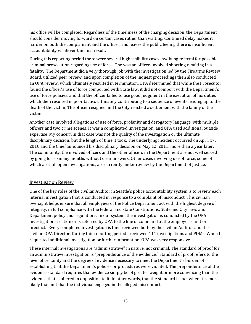his office will be completed. Regardless of the timeliness of the charging decision, the Department should consider moving forward on certain cases rather than waiting. Continued delay makes it harder on both the complainant and the officer, and leaves the public feeling there is insufficient accountability whatever the final result.

During this reporting period there were several high visibility cases involving referral for possible criminal prosecution regarding use of force. One was an officer-involved shooting resulting in a fatality. The Department did a very thorough job with the investigation led by the Firearms Review Board, utilized peer review, and upon completion of the inquest proceedings then also conducted an OPA review, which ultimately resulted in termination. OPA determined that while the Prosecutor found the officer's use of force comported with State law, it did not comport with the Department's use of force policies, and that the officer failed to use good judgment in the execution of his duties which then resulted in poor tactics ultimately contributing to a sequence of events leading up to the death of the victim. The officer resigned and the City reached a settlement with the family of the victim.

Another case involved allegations of use of force, profanity and derogatory language, with multiple officers and two crime scenes. It was a complicated investigation, and OPA used additional outside expertise. My concern in that case was not the quality of the investigation or the ultimate disciplinary decision, but the length of time it took. The underlying incident occurred on April 17, 2010 and the Chief announced his disciplinary decision on May 12, 2011, more than a year later. The community, the involved officers and the other officers in the Department are not well served by going for so many months without clear answers. Other cases involving use of force, some of which are still open investigations, are currently under review by the Department of Justice.

### Investigation Review

One of the key roles of the civilian Auditor in Seattle's police accountability system is to review each internal investigation that is conducted in response to a complaint of misconduct. This civilian oversight helps ensure that all employees of the Police Department act with the highest degree of integrity, in full compliance with the federal and state Constitutions, State and City laws and Department policy and regulations. In our system, the investigation is conducted by the OPA investigations section or is referred by OPA to the line of command at the employee's unit or precinct. Every completed investigation is then reviewed both by the civilian Auditor and the civilian OPA Director. During this reporting period I reviewed 111 investigations and PDMs. When I requested additional investigation or further information, OPA was very responsive.

These internal investigations are "administrative" in nature, not criminal. The standard of proof for an administrative investigation is "preponderance of the evidence." Standard of proof refers to the level of certainty and the degree of evidence necessary to meet the Department's burden of establishing that the Department's policies or procedures were violated. The preponderance of the evidence standard requires that evidence simply be of greater weight or more convincing than the evidence that is offered in opposition to it; in other words, that the standard is met when it is more likely than not that the individual engaged in the alleged misconduct.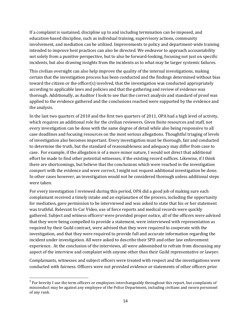If a complaint is sustained, discipline up to and including termination can be imposed, and education-based discipline, such as individual training, supervisory actions, community involvement, and mediation can be utilized. Improvements to policy and department-wide training intended to improve best practices can also be directed. We endeavor to approach accountability not solely from a punitive perspective, but to also be forward-looking, focusing not just on specific incidents, but also drawing insights from the incidents as to what may be larger systemic failures.

This civilian oversight can also help improve the quality of the internal investigations, making certain that the investigation process has been conducted and the findings determined without bias toward the citizen or the officer(s) involved, that the investigation was conducted appropriately according to applicable laws and policies and that the gathering and review of evidence was thorough. Additionally, as Auditor I look to see that the correct analysis and standard of proof was applied to the evidence gathered and the conclusions reached were supported by the evidence and the analysis.

In the last two quarters of 2010 and the first two quarters of 2011, OPA had a high level of activity, which requires an additional role for the civilian reviewers. Given finite resources and staff, not every investigation can be done with the same degree of detail while also being responsive to all case deadlines and focusing resources on the most serious allegations. Thoughtful triaging of levels of investigation also becomes important. Every investigation must be thorough, fair and conducted to determine the truth, but the standard of reasonableness and adequacy may differ from case to case. For example, if the allegation is of a more minor nature, I would not direct that additional effort be made to find other potential witnesses, if the existing record suffices. Likewise, if I think there are shortcomings, but believe that the conclusions which were reached in the investigation comport with the evidence and were correct, I might not request additional investigation be done. In other cases however, an investigation would not be considered thorough unless additional steps were taken.

For every investigation I reviewed during this period, OPA did a good job of making sure each complainant received a timely intake and an explanation of the process, including the opportunity for mediation, gave permission to be interviewed and was asked to state that his or her statement was truthful. Relevant In-Car Video, use of force reports and medical records were quickly gathered. Subject and witness officers<sup>2</sup> were provided proper notice, all of the officers were advised that they were being compelled to provide a statement, were interviewed with representation as required by their Guild contract, were advised that they were required to cooperate with the investigation, and that they were required to provide full and accurate information regarding the incident under investigation. All were asked to describe their SPD and other law enforcement experience. At the conclusion of the interviews, all were admonished to refrain from discussing any aspect of the interview and complaint with anyone other than their Guild representative or lawyer.

Complainants, witnesses and subject officers were treated with respect and the investigations were conducted with fairness. Officers were not provided evidence or statements of other officers prior

 $\overline{\phantom{a}}$ 

 $^2$  For brevity I use the term officers or employees interchangeably throughout this report, but complaints of misconduct may be against any employee of the Police Department, including civilians and sworn personnel of any rank.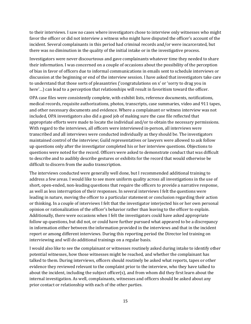to their interviews. I saw no cases where investigators chose to interview only witnesses who might favor the officer or did not interview a witness who might have disputed the officer's account of the incident. Several complainants in this period had criminal records and/or were incarcerated, but there was no diminution in the quality of the initial intake or in the investigative process.

Investigators were never discourteous and gave complainants whatever time they needed to share their information. I was concerned on a couple of occasions about the possibility of the perception of bias in favor of officers due to informal communications in emails sent to schedule interviews or discussion at the beginning or end of the interview session. I have asked that investigators take care to understand that those sorts of pleasantries ('congratulations on x' or 'sorry to drag you in here'...) can lead to a perception that relationships will result in favoritism toward the officer.

OPA case files were consistently complete, with exhibit lists, reference documents, notifications, medical records, requisite authorizations, photos, transcripts, case summaries, video and 911 tapes, and other necessary documents and evidence. Where a complainant or witness interview was not included, OPA investigators also did a good job of making sure the case file reflected that appropriate efforts were made to locate the individual and/or to obtain the necessary permissions. With regard to the interviews, all officers were interviewed in-person, all interviews were transcribed and all interviews were conducted individually as they should be. The investigators maintained control of the interview; Guild representatives or lawyers were allowed to ask follow up questions only after the investigator completed his or her interview questions. Objections to questions were noted for the record. Officers were asked to demonstrate conduct that was difficult to describe and to audibly describe gestures or exhibits for the record that would otherwise be difficult to discern from the audio transcription.

The interviews conducted were generally well done, but I recommended additional training to address a few areas. I would like to see more uniform quality across all investigations in the use of short, open-ended, non-leading questions that require the officers to provide a narrative response, as well as less interruption of their responses. In several interviews I felt the questions were leading in nature, moving the officer to a particular statement or conclusion regarding their action or thinking. In a couple of interviews I felt that the investigator interjected his or her own personal opinion or rationalization of the officer's behavior rather than leaving to the officer to explain. Additionally, there were occasions when I felt the investigators could have asked appropriate follow up questions, but did not, or could have further pursued what appeared to be a discrepancy in information either between the information provided in the interviews and that in the incident report or among different interviews. During this reporting period the Director led training on interviewing and will do additional trainings on a regular basis.

I would also like to see the complainant or witnesses routinely asked during intake to identify other potential witnesses, how those witnesses might be reached, and whether the complainant has talked to them. During interviews, officers should routinely be asked what reports, tapes or other evidence they reviewed relevant to the complaint prior to the interview, who they have talked to about the incident, including the subject officer(s), and from whom did they first learn about the internal investigation. As well, complainants, witnesses and officers should be asked about any prior contact or relationship with each of the other parties.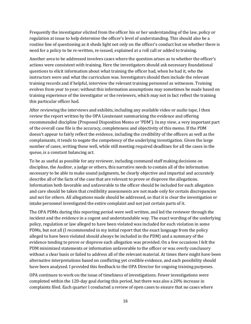Frequently the investigator elicited from the officer his or her understanding of the law, policy or regulation at issue to help determine the officer's level of understanding. This should also be a routine line of questioning as it sheds light not only on the officer's conduct but on whether there is need for a policy to be re-written, re-issued, explained at a roll call or added to training.

Another area to be addressed involves cases where the question arises as to whether the officer's actions were consistent with training. Here the investigators should ask necessary foundational questions to elicit information about what training the officer had, when he had it, who the instructors were and what the curriculum was. Investigators should then include the relevant training records and if helpful, interview the relevant training personnel as witnesses. Training evolves from year to year; without this information assumptions may sometimes be made based on training experience of the investigator or the reviewers, which may not in fact reflect the training this particular officer had.

After reviewing the interviews and exhibits, including any available video or audio tape, I then review the report written by the OPA Lieutenant summarizing the evidence and offering recommended discipline (Proposed Disposition Memo or 'PDM'). In my view, a very important part of the overall case file is the accuracy, completeness and objectivity of this memo. If the PDM doesn't appear to fairly reflect the evidence, including the credibility of the officers as well as the complainants, it tends to negate the competency of the underlying investigation. Given the large number of cases, writing these well, while still meeting required deadlines for all the cases in the queue, is a constant balancing act.

To be as useful as possible for any reviewer, including command staff making decisions on discipline, the Auditor, a judge or others, this narrative needs to contain all of the information necessary to be able to make sound judgments, be clearly objective and impartial and accurately describe all of the facts of the case that are relevant to prove or disprove the allegations. Information both favorable and unfavorable to the officer should be included for each allegation and care should be taken that credibility assessments are not made only for certain discrepancies and not for others. All allegations made should be addressed, so that it is clear the investigation or intake personnel investigated the entire complaint and not just certain parts of it.

The OPA PDMs during this reporting period were well written, and led the reviewer through the incident and the evidence in a cogent and understandable way. The exact wording of the underlying policy, regulation or law alleged to have been violated was included for each violation in some PDMs, but not all (I recommended in my initial report that the exact language from the policy alleged to have been violated should always be included in the PDM) and a summary of the evidence tending to prove or disprove each allegation was provided. On a few occasions I felt the PDM minimized statements or information unfavorable to the officer or was overly conclusory without a clear basis or failed to address all of the relevant material. At times there might have been alternative interpretations based on conflicting yet credible evidence, and each possibility should have been analyzed. I provided this feedback to the OPA Director for ongoing training purposes.

OPA continues to work on the issue of timeliness of investigations. Fewer investigations were completed within the 120-day goal during this period, but there was also a 20% increase in complaints filed. Each quarter I conducted a review of open cases to ensure that no cases where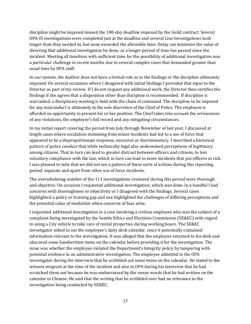discipline might be imposed missed the 180-day deadline imposed by the Guild contract. Several OPA-IS investigations were completed just at the deadline and several Line Investigations took longer than they needed to, but none exceeded the allowable time. Delay can minimize the value of directing that additional investigation be done, as a longer period of time has passed since the incident. Meeting all timelines with sufficient time for the possibility of additional investigation was a particular challenge in recent months due to several complex cases that demanded greater than usual time by OPA staff.

In our system, the Auditor does not have a formal role as to the findings or the discipline ultimately imposed. On several occasions where I disagreed with initial findings I provided that input to the Director as part of my review. If I do not request any additional work, the Director then certifies the findings if she agrees that a disposition other than discipline is recommended. If discipline is warranted, a disciplinary meeting is held with the chain of command. The discipline to be imposed for any misconduct is ultimately in the sole discretion of the Chief of Police. The employee is afforded an opportunity to present his or her position. The Chief takes into account the seriousness of any violations, the employee's full record and any mitigating circumstances.

In my initial report covering the period from July through November of last year, I discussed at length cases where escalation stemming from minor incidents had led to a use of force that appeared to be a disproportionate response, excessive or discriminatory. I described a historical pattern of police conduct that while technically legal also undermined perceptions of legitimacy among citizens. That in turn can lead to greater distrust between officers and citizens, to less voluntary compliance with the law, which in turn can lead to more incidents that put officers at risk. I was pleased to note that we did not see a pattern of these sorts of actions during this reporting period, separate and apart from other use of force incidents.

The overwhelming number of the 111 investigations reviewed during this period were thorough and objective. On occasion I requested additional investigation, which was done. In a handful I had concerns with thoroughness or objectivity or I disagreed with the findings. Several cases highlighted a policy or training gap and one highlighted the challenges of differing perceptions and the potential value of mediation when concerns of bias arise.

I requested additional investigation in a case involving a civilian employee who was the subject of a complaint being investigated by the Seattle Ethics and Elections Commission (SE&EC) with regard to using a City vehicle to take care of rental properties during working hours. The SE&EC investigator asked to see the employee's daily desk calendar, since it potentially contained information relevant to the investigation. It was alleged that the employee returned to his desk and obscured some handwritten items on the calendar before providing it for the investigation. The issue was whether the employee violated the Department's Integrity policy by tampering with potential evidence in an administrative investigation. The employee admitted to the OPA investigator during the interview that he scribbled out some items on the calendar. He stated to the witness sergeant at the time of the incident and also to OPA during his interview that he had scratched them out because he was embarrassed by the swear words that he had written on the calendar in Chinese. He said that the writing that he scribbled over had no relevance to the investigation being conducted by SE&EC.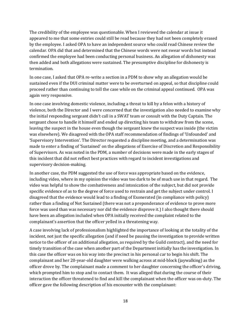The credibility of the employee was questionable. When I reviewed the calendar at issue it appeared to me that some entries could still be read because they had not been completely erased by the employee. I asked OPA to have an independent source who could read Chinese review the calendar. OPA did that and determined that the Chinese words were not swear words but instead confirmed the employee had been conducting personal business. An allegation of dishonesty was then added and both allegations were sustained. The presumptive discipline for dishonesty is termination.

In one case, I asked that OPA re-write a section in a PDM to show why an allegation would be sustained even if the DUI criminal matter were to be overturned on appeal, so that discipline could proceed rather than continuing to toll the case while on the criminal appeal continued. OPA was again very responsive.

In one case involving domestic violence, including a threat to kill by a felon with a history of violence, both the Director and I were concerned that the investigation also needed to examine why the initial responding sergeant didn't call in a SWAT team or consult with the Duty Captain. The sergeant chose to handle it himself and ended up directing his team to withdraw from the scene, leaving the suspect in the house even though the sergeant knew the suspect was inside (the victim was elsewhere). We disagreed with the OPA staff recommendation of findings of 'Unfounded' and 'Supervisory Intervention'. The Director requested a discipline meeting, and a determination was made to enter a finding of 'Sustained' on the allegations of Exercise of Discretion and Responsibility of Supervisors. As was noted in the PDM, a number of decisions were made in the early stages of this incident that did not reflect best practices with regard to incident investigations and supervisory decision-making.

In another case, the PDM suggested the use of force was appropriate based on the evidence, including video, where in my opinion the video was too dark to be of much use in that regard. The video was helpful to show the combativeness and intoxication of the subject, but did not provide specific evidence of as to the degree of force used to restrain and get the subject under control. I disagreed that the evidence would lead to a finding of Exonerated (in compliance with policy) rather than a finding of Not Sustained (there was not a preponderance of evidence to prove more force was used than was necessary nor did the evidence disprove it.) I also thought there should have been an allegation included when OPA initially received the complaint related to the complainant's assertion that the officer yelled in a threatening way.

A case involving lack of professionalism highlighted the importance of looking at the totality of the incident, not just the specific allegation (and if need be pausing the investigation to provide written notice to the officer of an additional allegation, as required by the Guild contract), and the need for timely transition of the case when another part of the Department initially has the investigation. In this case the officer was on his way into the precinct in his personal car to begin his shift. The complainant and her 20-year-old daughter were walking across at mid-block (jaywalking) as the officer drove by. The complainant made a comment to her daughter concerning the officer's driving, which prompted him to stop and to contact them. It was alleged that during the course of their interaction the officer threatened to find and kill the complainant when the officer was on-duty. The officer gave the following description of his encounter with the complainant: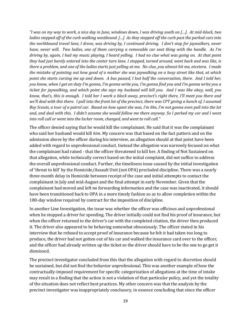*"I was on my way to work, a nice day in June, windows down, I was driving south on […]. At mid-block, two ladies stepped off of the curb walking westbound. […] As they stepped off the curb past the parked cars into the northbound travel lane, I drove, was driving by, I continued driving. I don't stop for jaywalkers, never have, never will. Two ladies, one of them carrying a removable car seat thing with the handle. As I'm driving by, again, I had my music playing, I heard yelling. I had no clue what was going on. At that point they had just barely entered into the center turn lane. I stopped, turned around, went back and was like, is there a problem, and one of the ladies starts just yelling at me. No clue, you almost hit me, etcetera. I made the mistake of pointing out how good of a mother she was jaywalking on a busy street like that, at which point she starts cursing me up and down. A bus passed, I lost half the conversation, there. And I told her, you know, when I get on duty I'm gonna, I'm gonna write you, I'm gonna find you and I'm gonna write you a ticket for jaywalking, and which point she says my husband will kill you. And I was like okay, well, you know, that's, this is enough. I told her I work a block away, precinct's right there, I'll meet you there and we'll deal with this there. I pull into the front lot of the precinct, there was CPT giving a bunch of, I assumed Boy Scouts, a tour of a patrol car. Based on how upset she was, I'm like, I'm not gonna even pull into the lot and, and deal with this. I didn't assume she would follow me there anyway. So I parked my car and I went into roll call or went into the locker room, changed, and went to roll call."*

The officer denied saying that he would kill the complainant. He said that it was the complainant who said her husband would kill *him*. My concern was that based on the fact pattern and on the admission above by the officer during his interview, an allegation should at that point have been added with regard to unprofessional conduct. Instead the allegation was narrowly focused on what the complainant had raised - that the officer threatened to kill her. A finding of Not Sustained on that allegation, while technically correct based on the initial complaint, did not suffice to address the overall unprofessional conduct. Further, the timeliness issue caused by the initial investigation of 'threat to kill' by the Homicide/Assault Unit (not OPA) precluded discipline. There was a nearly three-month delay in Homicide between receipt of the case and initial attempts to contact the complainant in July and mid-August and the final attempt in early November. Given that the complainant had moved and left no forwarding information and the case was inactivated, it should have been transitioned back to OPA in a more timely fashion so as to allow completion within the 180-day window required by contract for the imposition of discipline.

In another Line Investigation, the issue was whether the officer was officious and unprofessional when he stopped a driver for speeding. The driver initially could not find his proof of insurance, but when the officer returned to the driver's car with the completed citation, the driver then produced it. The driver also appeared to be behaving somewhat obnoxiously. The officer stated in his interview that he refused to accept proof of insurance because he felt it had taken too long to produce, the driver had not gotten out of his car and walked the insurance card over to the officer, and the officer had already written up the ticket so the driver should have to be the one to go get it dismissed.

The precinct investigator concluded from this that the allegation with regard to discretion should be sustained, but did not find the behavior unprofessional. This was another example of how the contractually-imposed requirement for specific categorization of allegations at the time of intake may result in a finding that the action is not a violation of that particular policy, and yet the totality of the situation does not reflect best practices. My other concern was that the analysis by the precinct investigator was inappropriately conclusory, in essence concluding that since the officer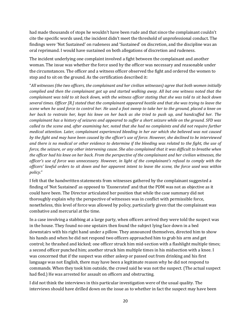had made thousands of stops he wouldn't have been rude and that since the complainant couldn't cite the specific words used, the incident didn't meet the threshold of unprofessional conduct. The findings were 'Not Sustained' on rudeness and 'Sustained' on discretion, and the discipline was an oral reprimand. I would have sustained on both allegations of discretion and rudeness.

The incident underlying one complaint involved a fight between the complainant and another woman. The issue was whether the force used by the officer was necessary and reasonable under the circumstances. The officer and a witness officer observed the fight and ordered the women to stop and to sit on the ground. As the certification described it:

"*All witnesses (the two officers, the complainant and her civilian witnesses) agree that both women initially complied and then the complainant got up and started walking away. All but one witness noted that the complainant was told to sit back down, with the witness officer stating that she was told to sit back down several times. Officer [R.] stated that the complainant appeared hostile and that she was trying to leave the scene when he used force to control her. He used a foot sweep to take her to the ground, placed a knee on her back to restrain her, kept his knee on her back as she tried to push up, and handcuffed her. The complainant has a history of seizures and appeared to suffer a short seizure while on the ground. SFD was called to the scene and, after examining her, noted that she had no complaints and did not require further medical attention. Later, complainant experienced bleeding in her ear which she believed was not caused by the fight and may have been caused by the officer's use of force. However, she declined to be interviewed and there is no medical or other evidence to determine if the bleeding was related to the fight, the use of force, the seizure, or any other intervening cause. She also complained that it was difficult to breathe when the officer had his knee on her back. From the perspective of the complainant and her civilian witnesses, the officer's use of force was unnecessary. However, in light of the complainant's refusal to comply with the officers' lawful orders to sit down and her apparent intent to leave the scene, the force used was within policy.*"

I felt that the handwritten statements from witnesses gathered by the complainant suggested a finding of 'Not Sustained' as opposed to 'Exonerated' and that the PDM was not as objective as it could have been. The Director articulated her position that while the case summary did not thoroughly explain why the perspective of witnesses was in conflict with permissible force, nonetheless, this level of force was allowed by policy, particularly given that the complainant was combative and mercurial at the time.

In a case involving a stabbing at a large party, when officers arrived they were told the suspect was in the house. They found no one upstairs then found the subject lying face down in a bed downstairs with his right hand under a pillow. They announced themselves, directed him to show his hands and when he did not respond two officers approached him to grab his arm and get control; he thrashed and kicked; one officer struck him mid-section with a flashlight multiple times; a second officer punched him; another struck him multiple times in his midsection with a knee. I was concerned that if the suspect was either asleep or passed out from drinking and his first language was not English, there may have been a legitimate reason why he did not respond to commands. When they took him outside, the crowd said he was not the suspect. (The actual suspect had fled.) He was arrested for assault on officers and obstructing.

I did not think the interviews in this particular investigation were of the usual quality. The interviews should have drilled down on the issue as to whether in fact the suspect may have been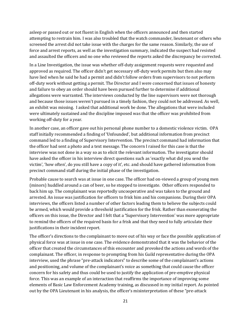asleep or passed out or not fluent in English when the officers announced and then started attempting to restrain him. I was also troubled that the watch commander, lieutenant or others who screened the arrest did not take issue with the charges for the same reason. Similarly, the use of force and arrest reports, as well as the investigation summary, indicated the suspect had resisted and assaulted the officers and no one who reviewed the reports asked the discrepancy be corrected.

In a Line Investigation, the issue was whether off-duty assignment requests were requested and approved as required. The officer didn't get necessary off-duty work permits but then also may have lied when he said he had a permit and didn't follow orders from supervisors to not perform off-duty work without getting a permit. The Director and I were concerned that issues of honesty and failure to obey an order should have been pursued further to determine if additional allegations were warranted. The interviews conducted by the line supervisors were not thorough and because those issues weren't pursued in a timely fashion, they could not be addressed. As well, an exhibit was missing. I asked that additional work be done. The allegations that were included were ultimately sustained and the discipline imposed was that the officer was prohibited from working off-duty for a year.

In another case, an officer gave out his personal phone number to a domestic violence victim. OPA staff initially recommended a finding of 'Unfounded', but additional information from precinct command led to a finding of Supervisory Intervention. The precinct command had information that the officer had sent a photo and a text message. The concern I raised for this case is that the interview was not done in a way so as to elicit the relevant information. The investigator should have asked the officer in his interview direct questions such as 'exactly what did you send the victim', 'how often', do you still have a copy of it', etc. and should have gathered information from precinct command staff during the initial phase of the investigation.

Probable cause to search was at issue in one case. The officer had on-viewed a group of young men (minors) huddled around a can of beer, so he stopped to investigate. Other officers responded to back him up. The complainant was reportedly uncooperative and was taken to the ground and arrested. An issue was justification for officers to frisk him and his companions. During their OPA interviews, the officers listed a number of other factors leading them to believe the subjects could be armed, which would provide a threshold justification for the frisk. Rather than exonerating the officers on this issue, the Director and I felt that a **'**Supervisory Intervention' was more appropriate to remind the officers of the required basis for a frisk and that they need to fully articulate their justifications in their incident report.

The officer's directions to the complainant to move out of his way or face the possible application of physical force was at issue in one case. The evidence demonstrated that it was the behavior of the officer that created the circumstances of this encounter and provoked the actions and words of the complainant. The officer, in response to prompting from his Guild representative during the OPA interview, used the phrase "pre-attack indicators" to describe some of the complainant's actions and positioning, and volume of the complainant's voice as something that could cause the officer concern for his safety and thus could be used to justify the application of pre-emptive physical force. This was an example of an interaction that reaffirms the importance of improving some elements of Basic Law Enforcement Academy training, as discussed in my initial report. As pointed out by the OPA Lieutenant in his analysis, the officer's misinterpretation of these "pre-attack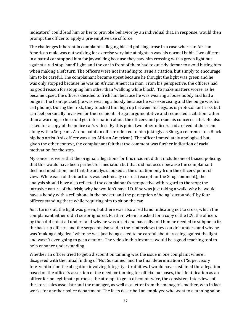indicators" could lead him or her to provoke behavior by an individual that, in response, would then prompt the officer to apply a pre-emptive use of force.

The challenges inherent in complaints alleging biased policing arose in a case where an African American male was out walking for exercise very late at night as was his normal habit. Two officers in a patrol car stopped him for jaywalking because they saw him crossing with a green light but against a red stop 'hand' light, and the car in front of them had to quickly detour to avoid hitting him when making a left turn. The officers were not intending to issue a citation, but simply to encourage him to be careful. The complainant became upset because he thought the light was green and he was only stopped because he was an African American man. From his perspective, the officers had no good reason for stopping him other than 'walking while black'. To make matters worse, as he became upset, the officers decided to frisk him because he was wearing a loose hoody and had a bulge in the front pocket (he was wearing a hoody because he was exercising and the bulge was his cell phone). During the frisk, they touched him high up between his legs, as is protocol for frisks but can feel personally invasive for the recipient. He got argumentative and requested a citation rather than a warning so he could get information about the officers and pursue his concerns later. He also asked for a copy of the police car's video. By this point two other officers had arrived at the scene along with a Sergeant. At one point an officer referred to him jokingly as Shug, a reference to a Black hip hop artist (this officer was also African American). The officer immediately apologized but, given the other context, the complainant felt that the comment was further indication of racial motivation for the stop.

My concerns were that the original allegations for this incident didn't include one of biased policing; that this would have been perfect for mediation but that did not occur because the complainant declined mediation; and that the analysis looked at the situation only from the officers' point of view. While each of their actions was technically correct (except for the Shug comment), the analysis should have also reflected the complainant's perspective with regard to the stop; the intrusive nature of the frisk; why he wouldn't have I.D. if he was just taking a walk; why he would have a hoody with a cell phone in the pocket; and the perception of being 'surrounded' by four officers standing there while requiring him to sit on the car.

As it turns out, the light was green, but there was also a red hand indicating not to cross, which the complainant either didn't see or ignored. Further, when he asked for a copy of the ICV, the officers by then did not at all understand why he was upset and basically told him he needed to subpoena it; the back-up officers and the sergeant also said in their interviews they couldn't understand why he was 'making a big deal' when he was just being asked to be careful about crossing against the light and wasn't even going to get a citation. The video in this instance would be a good teaching tool to help enhance understanding.

Whether an officer tried to get a discount on tanning was the issue in one complaint where I disagreed with the initial finding of 'Not Sustained' and the final determination of 'Supervisory Intervention' on the allegation involving Integrity - Gratuities. I would have sustained the allegation based on the officer's assertion of the need for tanning for official purposes, the identification as an officer for no legitimate purpose, the attempt to get a discount twice, the consistent interviews of the store sales associate and the manager, as well as a letter from the manager's mother, who in fact works for another police department. The facts described an employee who went to a tanning salon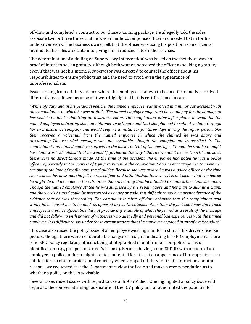off-duty and completed a contract to purchase a tanning package. He allegedly told the sales associate two or three times that he was an undercover police officer and needed to tan for his undercover work. The business owner felt that the officer was using his position as an officer to intimidate the sales associate into giving him a reduced rate on the services.

The determination of a finding of 'Supervisory Intervention' was based on the fact there was no proof of intent to seek a gratuity, although both women perceived the officer as seeking a gratuity, even if that was not his intent. A supervisor was directed to counsel the officer about his responsibilities to ensure public trust and the need to avoid even the appearance of unprofessionalism.

Issues arising from off-duty actions where the employee is known to be an officer and is perceived differently by a citizen because of it were highlighted in this certification of a case:

"*While off duty and in his personal vehicle, the named employee was involved in a minor car accident with the complainant, in which he was at fault. The named employee suggested he would pay for the damage to her vehicle without submitting an insurance claim. The complainant later left a phone message for the named employee indicating she had obtained an estimate and that she planned to submit a claim through her own insurance company and would require a rental car for three days during the repair period. She then received a voicemail from the named employee in which she claimed he was angry and threatening. The recorded message was not available, though the complainant transcribed it. The complainant and named employee agreed to the basic content of the message. Though he said he thought her claim was "ridiculous," that he would "fight her all the way," that he wouldn't be her "mark," and such, there were no direct threats made. At the time of the accident, the employee had noted he was a police officer, apparently in the context of trying to reassure the complainant and to encourage her to move her car out of the lane of traffic onto the shoulder. Because she was aware he was a police officer at the time she received his message, she felt increased fear and intimidation. However, it is not clear what she feared he might do and he made no threats, other than indicating that he intended to contest the claim she made. Though the named employee stated he was surprised by the repair quote and her plan to submit a claim, and the words he used could be interpreted as angry or rude, it is difficult to say by a preponderance of the evidence that he was threatening. The complaint involves off-duty behavior that the complainant said would have caused her to be mad, as opposed to feel threatened, other than the fact she knew the named employee is a police officer. She did not provide any example of what she feared as a result of the message and did not follow up with names of witnesses who allegedly had personal bad experiences with the named employee. It is difficult to say under these circumstances that the employee engaged in specific misconduct*."

This case also raised the policy issue of an employee wearing a uniform shirt in his driver's license picture, though there were no identifiable badges or insignia indicating his SPD employment. There is no SPD policy regulating officers being photographed in uniform for non-police forms of identification (e.g., passport or driver's license). Because having a non-SPD ID with a photo of an employee in police uniform might create a potential for at least an appearance of impropriety, i.e., a subtle effort to obtain professional courtesy when stopped off-duty for traffic infractions or other reasons, we requested that the Department review the issue and make a recommendation as to whether a policy on this is advisable.

Several cases raised issues with regard to use of In-Car Video. One highlighted a policy issue with regard to the somewhat ambiguous nature of the ICV policy and another noted the potential for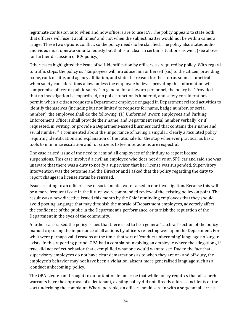legitimate confusion as to when and how officers are to use ICV. The policy appears to state both that officers will 'use it at all times' and 'not when the subject matter would not be within camera range'. These two options conflict, so the policy needs to be clarified. The policy also states audio and video must operate simultaneously but that is unclear in certain situations as well. (See above for further discussion of ICV policy.)

Other cases highlighted the issue of self-identification by officers, as required by policy. With regard to traffic stops, the policy is*:* "Employees will introduce him or herself [sic] to the citizen, providing name, rank or title, and agency affiliation, and state the reason for the stop as soon as practical when safety considerations allow, unless the employee believes providing this information will compromise officer or public safety." In general for all sworn personnel, the policy is*:* "Provided that no investigation is jeopardized, no police function is hindered, and safety considerations permit, when a citizen requests a Department employee engaged in Department related activities to identify themselves (including but not limited to requests for name, badge number, or serial number), the employee shall do the following: (1) Uniformed, sworn employees and Parking Enforcement Officers shall provide their name, and Department serial number verbally, or if requested, in writing, or provide a Department-issued business card that contains their name and serial number." I commented about the importance of having a singular, clearly articulated policy requiring identification and explanation of the rationale for the stop whenever practical as basic tools to minimize escalation and for citizens to feel interactions are respectful.

One case raised issue of the need to remind all employees of their duty to report license suspensions. This case involved a civilian employee who does not drive an SPD car and said she was unaware that there was a duty to notify a supervisor that her license was suspended. Supervisory Intervention was the outcome and the Director and I asked that the policy regarding the duty to report changes in license status be reissued.

Issues relating to an officer's use of social media were raised in one investigation. Because this will be a more frequent issue in the future, we recommended review of the existing policy on point. The result was a new directive issued this month by the Chief reminding employees that they should avoid posting language that may diminish the morale of Department employees, adversely affect the confidence of the public in the Department's performance, or tarnish the reputation of the Department in the eyes of the community.

Another case raised the policy issues that there used to be a general 'catch-all' section of the policy manual capturing the importance of all actions by officers reflecting well upon the Department. For what were perhaps valid reasons at the time, that sort of 'conduct unbecoming' language no longer exists. In this reporting period, OPA had a complaint involving an employee where the allegations, if true, did not reflect behavior that exemplified what one would want to see. Due to the fact that supervisory employees do not have clear demarcations as to when they are on- and off-duty, the employee's behavior may not have been a violation, absent more generalized language such as a 'conduct unbecoming' policy.

The OPA Lieutenant brought to our attention in one case that while policy requires that all search warrants have the approval of a lieutenant, existing policy did not directly address incidents of the sort underlying the complaint. Where possible, an officer should screen with a sergeant all arrest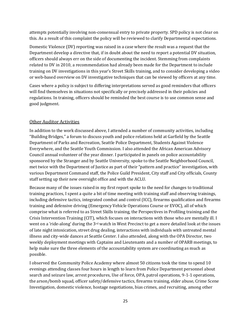attempts potentially involving non-consensual entry to private property. SPD policy is not clear on this. As a result of this complaint the policy will be reviewed to clarify Departmental expectations.

Domestic Violence (DV) reporting was raised in a case where the result was a request that the Department develop a directive that, if in doubt about the need to report a potential DV situation, officers should always err on the side of documenting the incident. Stemming from complaints related to DV in 2010, a recommendation had already been made for the Department to include training on DV investigations in this year's Street Skills training, and to consider developing a video or web-based overview on DV investigative techniques that can be viewed by officers at any time.

Cases where a policy is subject to differing interpretations served as good reminders that officers will find themselves in situations not specifically or precisely addressed in their policies and regulations. In training, officers should be reminded the best course is to use common sense and good judgment.

### Other Auditor Activities

In addition to the work discussed above, I attended a number of community activities, including "Building Bridges," a forum to discuss youth and police relations held at Garfield by the Seattle Department of Parks and Recreation, Seattle Police Department, Students Against Violence Everywhere, and the Seattle Youth Commission. I also attended the African American Advisory Council annual volunteer of the year dinner. I participated in panels on police accountability sponsored by the Stranger and by Seattle University, spoke to the Seattle Neighborhood Council, met twice with the Department of Justice as part of their "pattern and practice" investigation, with various Department Command staff, the Police Guild President, City staff and City officials, County staff setting up their new oversight office and with the ACLU.

Because many of the issues raised in my first report spoke to the need for changes to traditional training practices, I spent a quite a bit of time meeting with training staff and observing trainings, including defensive tactics, integrated combat and control (ICC), firearms qualification and firearms training and defensive driving (Emergency Vehicle Operations Course or EVOC), all of which comprise what is referred to as Street Skills training, the Perspectives in Profiling training and the Crisis Intervention Training (CIT), which focuses on interactions with those who are mentally ill. I went on a 'ride-along' during the 3<sup>rd</sup> watch in West Precinct to get a more detailed look at the issues of late night intoxication, street drug dealing, interactions with individuals with untreated mental illness and city-wide dances at Seattle Center. I also attended, along with the OPA Director, two weekly deployment meetings with Captains and Lieutenants and a number of OPARB meetings, to help make sure the three elements of the accountability system are coordinating as much as possible.

I observed the Community Police Academy where almost 50 citizens took the time to spend 10 evenings attending classes four hours in length to learn from Police Department personnel about search and seizure law, arrest procedures, Use of force, OPA, patrol operations, 9-1-1 operations, the arson/bomb squad, officer safety/defensive tactics, firearms training, elder abuse, Crime Scene Investigation, domestic violence, hostage negotiations, bias crimes, and recruiting, among other